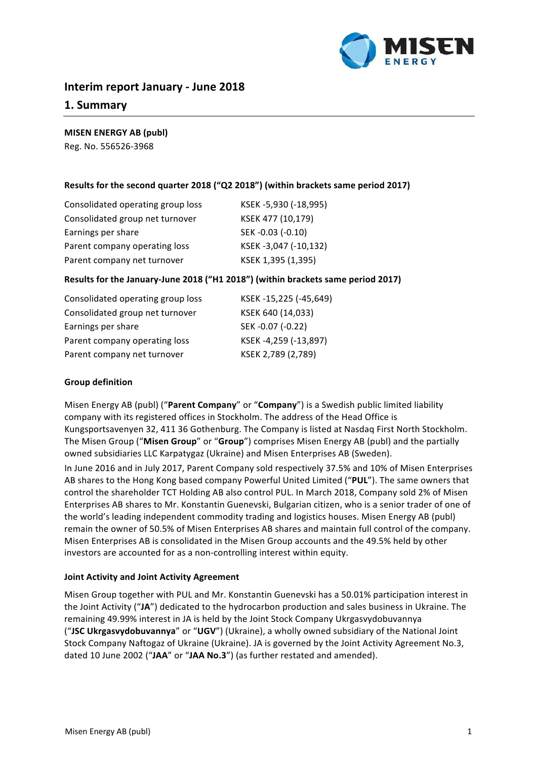

# **Interim report January - June 2018**

# **1. Summary**

## **MISEN ENERGY AB (publ)**

Reg. No. 556526-3968

# **Results for the second quarter 2018 ("Q2 2018") (within brackets same period 2017)**

| Consolidated operating group loss | KSEK -5,930 (-18,995) |
|-----------------------------------|-----------------------|
| Consolidated group net turnover   | KSEK 477 (10,179)     |
| Earnings per share                | SEK-0.03 (-0.10)      |
| Parent company operating loss     | KSEK-3,047 (-10,132)  |
| Parent company net turnover       | KSEK 1,395 (1,395)    |

# Results for the January-June 2018 ("H1 2018") (within brackets same period 2017)

| Consolidated operating group loss | KSEK-15,225 (-45,649) |
|-----------------------------------|-----------------------|
| Consolidated group net turnover   | KSEK 640 (14,033)     |
| Earnings per share                | SEK-0.07 (-0.22)      |
| Parent company operating loss     | KSEK-4,259 (-13,897)  |
| Parent company net turnover       | KSEK 2,789 (2,789)    |

## **Group definition**

Misen Energy AB (publ) ("Parent Company" or "Company") is a Swedish public limited liability company with its registered offices in Stockholm. The address of the Head Office is Kungsportsavenyen 32, 411 36 Gothenburg. The Company is listed at Nasdaq First North Stockholm. The Misen Group ("Misen Group" or "Group") comprises Misen Energy AB (publ) and the partially owned subsidiaries LLC Karpatygaz (Ukraine) and Misen Enterprises AB (Sweden).

In June 2016 and in July 2017, Parent Company sold respectively 37.5% and 10% of Misen Enterprises AB shares to the Hong Kong based company Powerful United Limited ("PUL"). The same owners that control the shareholder TCT Holding AB also control PUL. In March 2018, Company sold 2% of Misen Enterprises AB shares to Mr. Konstantin Guenevski, Bulgarian citizen, who is a senior trader of one of the world's leading independent commodity trading and logistics houses. Misen Energy AB (publ) remain the owner of 50.5% of Misen Enterprises AB shares and maintain full control of the company. Misen Enterprises AB is consolidated in the Misen Group accounts and the 49.5% held by other investors are accounted for as a non-controlling interest within equity.

## **Joint Activity and Joint Activity Agreement**

Misen Group together with PUL and Mr. Konstantin Guenevski has a 50.01% participation interest in the Joint Activity ("JA") dedicated to the hydrocarbon production and sales business in Ukraine. The remaining 49.99% interest in JA is held by the Joint Stock Company Ukrgasvydobuvannya ("JSC Ukrgasvydobuvannya" or "UGV") (Ukraine), a wholly owned subsidiary of the National Joint Stock Company Naftogaz of Ukraine (Ukraine). JA is governed by the Joint Activity Agreement No.3, dated 10 June 2002 ("JAA" or "JAA No.3") (as further restated and amended).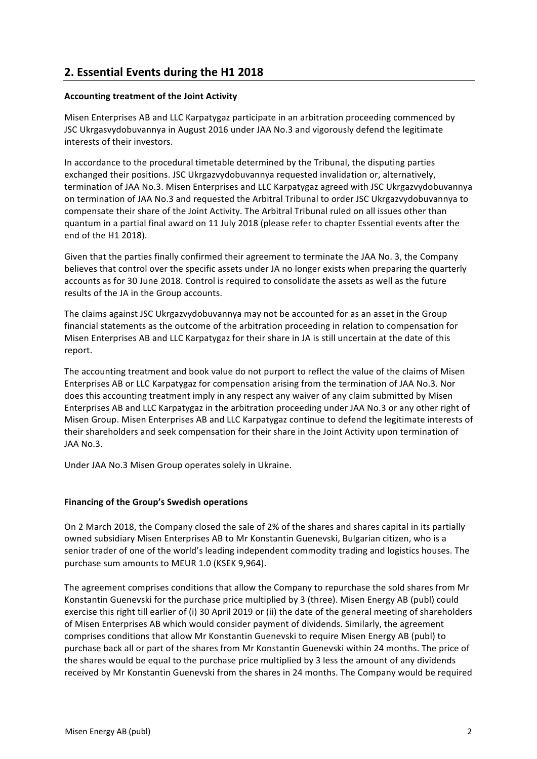# **2. Essential Events during the H1 2018**

# **Accounting treatment of the Joint Activity**

Misen Enterprises AB and LLC Karpatygaz participate in an arbitration proceeding commenced by JSC Ukrgasvydobuvannya in August 2016 under JAA No.3 and vigorously defend the legitimate interests of their investors.

In accordance to the procedural timetable determined by the Tribunal, the disputing parties exchanged their positions. JSC Ukrgazvydobuvannya requested invalidation or, alternatively, termination of JAA No.3. Misen Enterprises and LLC Karpatygaz agreed with JSC Ukrgazvydobuvannya on termination of JAA No.3 and requested the Arbitral Tribunal to order JSC Ukrgazvydobuvannya to compensate their share of the Joint Activity. The Arbitral Tribunal ruled on all issues other than quantum in a partial final award on 11 July 2018 (please refer to chapter Essential events after the end of the H1 2018).

Given that the parties finally confirmed their agreement to terminate the JAA No. 3, the Company believes that control over the specific assets under JA no longer exists when preparing the quarterly accounts as for 30 June 2018. Control is required to consolidate the assets as well as the future results of the JA in the Group accounts.

The claims against JSC Ukrgazvydobuvannya may not be accounted for as an asset in the Group financial statements as the outcome of the arbitration proceeding in relation to compensation for Misen Enterprises AB and LLC Karpatygaz for their share in JA is still uncertain at the date of this report.

The accounting treatment and book value do not purport to reflect the value of the claims of Misen Enterprises AB or LLC Karpatygaz for compensation arising from the termination of JAA No.3. Nor does this accounting treatment imply in any respect any waiver of any claim submitted by Misen Enterprises AB and LLC Karpatygaz in the arbitration proceeding under JAA No.3 or any other right of Misen Group. Misen Enterprises AB and LLC Karpatygaz continue to defend the legitimate interests of their shareholders and seek compensation for their share in the Joint Activity upon termination of JAA No.3.

Under JAA No.3 Misen Group operates solely in Ukraine.

## **Financing of the Group's Swedish operations**

On 2 March 2018, the Company closed the sale of 2% of the shares and shares capital in its partially owned subsidiary Misen Enterprises AB to Mr Konstantin Guenevski, Bulgarian citizen, who is a senior trader of one of the world's leading independent commodity trading and logistics houses. The purchase sum amounts to MEUR 1.0 (KSEK 9,964).

The agreement comprises conditions that allow the Company to repurchase the sold shares from Mr Konstantin Guenevski for the purchase price multiplied by 3 (three). Misen Energy AB (publ) could exercise this right till earlier of (i) 30 April 2019 or (ii) the date of the general meeting of shareholders of Misen Enterprises AB which would consider payment of dividends. Similarly, the agreement comprises conditions that allow Mr Konstantin Guenevski to require Misen Energy AB (publ) to purchase back all or part of the shares from Mr Konstantin Guenevski within 24 months. The price of the shares would be equal to the purchase price multiplied by 3 less the amount of any dividends received by Mr Konstantin Guenevski from the shares in 24 months. The Company would be required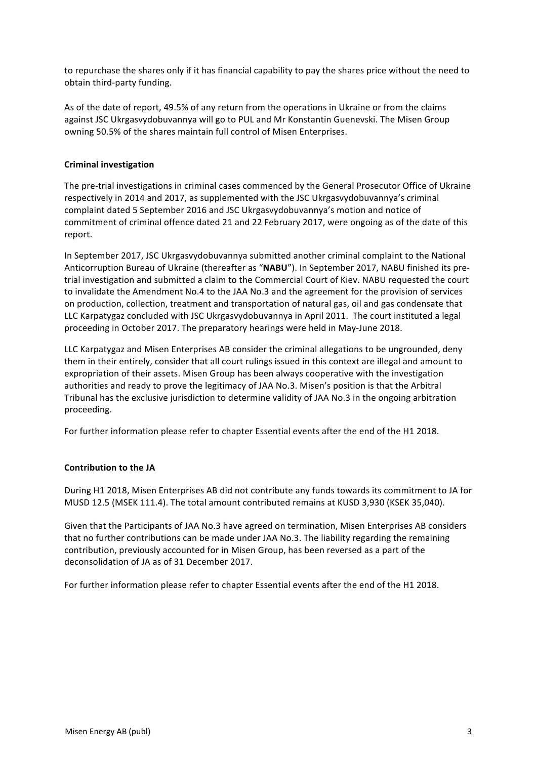to repurchase the shares only if it has financial capability to pay the shares price without the need to obtain third-party funding.

As of the date of report, 49.5% of any return from the operations in Ukraine or from the claims against JSC Ukrgasvydobuvannya will go to PUL and Mr Konstantin Guenevski. The Misen Group owning 50.5% of the shares maintain full control of Misen Enterprises.

## **Criminal investigation**

The pre-trial investigations in criminal cases commenced by the General Prosecutor Office of Ukraine respectively in 2014 and 2017, as supplemented with the JSC Ukrgasvydobuvannya's criminal complaint dated 5 September 2016 and JSC Ukrgasvydobuvannya's motion and notice of commitment of criminal offence dated 21 and 22 February 2017, were ongoing as of the date of this report.

In September 2017, JSC Ukrgasvydobuvannya submitted another criminal complaint to the National Anticorruption Bureau of Ukraine (thereafter as "NABU"). In September 2017, NABU finished its pretrial investigation and submitted a claim to the Commercial Court of Kiev. NABU requested the court to invalidate the Amendment No.4 to the JAA No.3 and the agreement for the provision of services on production, collection, treatment and transportation of natural gas, oil and gas condensate that LLC Karpatygaz concluded with JSC Ukrgasvydobuvannya in April 2011. The court instituted a legal proceeding in October 2017. The preparatory hearings were held in May-June 2018.

LLC Karpatygaz and Misen Enterprises AB consider the criminal allegations to be ungrounded, deny them in their entirely, consider that all court rulings issued in this context are illegal and amount to expropriation of their assets. Misen Group has been always cooperative with the investigation authorities and ready to prove the legitimacy of JAA No.3. Misen's position is that the Arbitral Tribunal has the exclusive jurisdiction to determine validity of JAA No.3 in the ongoing arbitration proceeding.

For further information please refer to chapter Essential events after the end of the H1 2018.

## **Contribution to the JA**

During H1 2018, Misen Enterprises AB did not contribute any funds towards its commitment to JA for MUSD 12.5 (MSEK 111.4). The total amount contributed remains at KUSD 3,930 (KSEK 35,040).

Given that the Participants of JAA No.3 have agreed on termination, Misen Enterprises AB considers that no further contributions can be made under JAA No.3. The liability regarding the remaining contribution, previously accounted for in Misen Group, has been reversed as a part of the deconsolidation of JA as of 31 December 2017.

For further information please refer to chapter Essential events after the end of the H1 2018.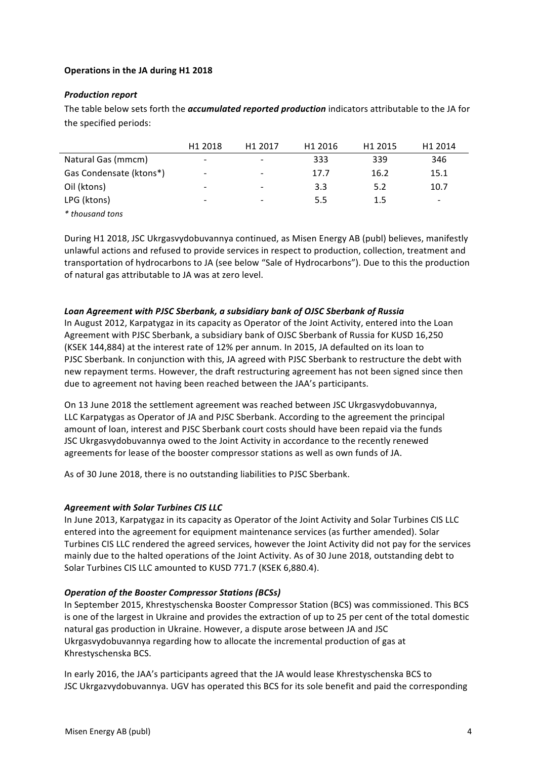# **Operations in the JA during H1 2018**

#### **Production report**

The table below sets forth the *accumulated reported production* indicators attributable to the JA for the specified periods:

|                         | H <sub>1</sub> 2018      | H <sub>1</sub> 2017      | H <sub>1</sub> 2016 | H <sub>1</sub> 2015 | H1 2014 |
|-------------------------|--------------------------|--------------------------|---------------------|---------------------|---------|
| Natural Gas (mmcm)      | $\overline{\phantom{a}}$ | $\overline{\phantom{0}}$ | 333                 | 339                 | 346     |
| Gas Condensate (ktons*) | $\overline{\phantom{a}}$ | $\overline{\phantom{0}}$ | 17.7                | 16.2                | 15.1    |
| Oil (ktons)             | $\overline{\phantom{a}}$ |                          | 3.3                 | 5.2                 | 10.7    |
| LPG (ktons)             | -                        | $\overline{\phantom{0}}$ | 5.5                 | $1.5\,$             | -       |
| * thousand tons         |                          |                          |                     |                     |         |

During H1 2018, JSC Ukrgasvydobuvannya continued, as Misen Energy AB (publ) believes, manifestly unlawful actions and refused to provide services in respect to production, collection, treatment and transportation of hydrocarbons to JA (see below "Sale of Hydrocarbons"). Due to this the production of natural gas attributable to JA was at zero level.

#### Loan Agreement with PJSC Sberbank, a subsidiary bank of OJSC Sberbank of Russia

In August 2012, Karpatygaz in its capacity as Operator of the Joint Activity, entered into the Loan Agreement with PJSC Sberbank, a subsidiary bank of OJSC Sberbank of Russia for KUSD 16,250 (KSEK 144,884) at the interest rate of 12% per annum. In 2015, JA defaulted on its loan to PJSC Sberbank. In conjunction with this, JA agreed with PJSC Sberbank to restructure the debt with new repayment terms. However, the draft restructuring agreement has not been signed since then due to agreement not having been reached between the JAA's participants.

On 13 June 2018 the settlement agreement was reached between JSC Ukrgasvydobuvannya, LLC Karpatygas as Operator of JA and PJSC Sberbank. According to the agreement the principal amount of loan, interest and PJSC Sberbank court costs should have been repaid via the funds JSC Ukrgasvydobuvannya owed to the Joint Activity in accordance to the recently renewed agreements for lease of the booster compressor stations as well as own funds of JA.

As of 30 June 2018, there is no outstanding liabilities to PJSC Sberbank.

## **Agreement with Solar Turbines CIS LLC**

In June 2013, Karpatygaz in its capacity as Operator of the Joint Activity and Solar Turbines CIS LLC entered into the agreement for equipment maintenance services (as further amended). Solar Turbines CIS LLC rendered the agreed services, however the Joint Activity did not pay for the services mainly due to the halted operations of the Joint Activity. As of 30 June 2018, outstanding debt to Solar Turbines CIS LLC amounted to KUSD 771.7 (KSEK 6,880.4).

## **Operation of the Booster Compressor Stations (BCSs)**

In September 2015, Khrestyschenska Booster Compressor Station (BCS) was commissioned. This BCS is one of the largest in Ukraine and provides the extraction of up to 25 per cent of the total domestic natural gas production in Ukraine. However, a dispute arose between JA and JSC Ukrgasvydobuvannya regarding how to allocate the incremental production of gas at Khrestyschenska BCS.

In early 2016, the JAA's participants agreed that the JA would lease Khrestyschenska BCS to JSC Ukrgazvydobuvannya. UGV has operated this BCS for its sole benefit and paid the corresponding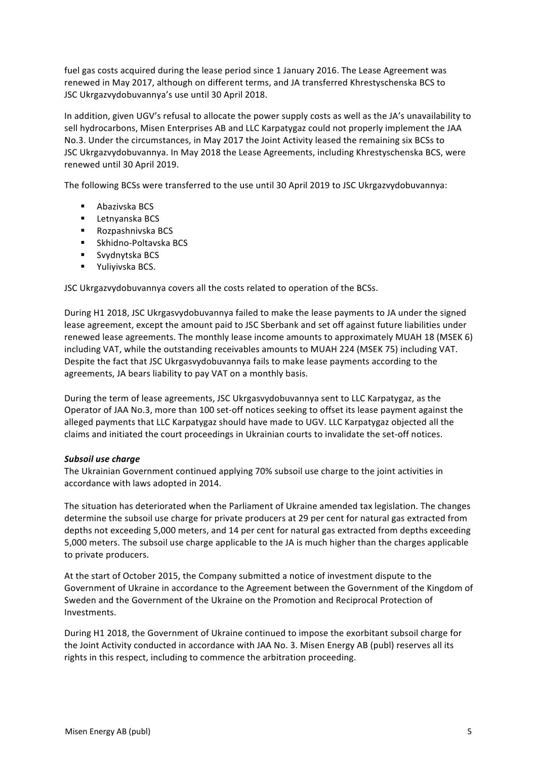fuel gas costs acquired during the lease period since 1 January 2016. The Lease Agreement was renewed in May 2017, although on different terms, and JA transferred Khrestyschenska BCS to JSC Ukrgazvydobuvannya's use until 30 April 2018.

In addition, given UGV's refusal to allocate the power supply costs as well as the JA's unavailability to sell hydrocarbons, Misen Enterprises AB and LLC Karpatygaz could not properly implement the JAA No.3. Under the circumstances, in May 2017 the Joint Activity leased the remaining six BCSs to JSC Ukrgazvydobuvannya. In May 2018 the Lease Agreements, including Khrestyschenska BCS, were renewed until 30 April 2019.

The following BCSs were transferred to the use until 30 April 2019 to JSC Ukrgazvydobuvannya:

- Abazivska BCS
- Letnyanska BCS
- Rozpashnivska BCS
- Skhidno-Poltavska BCS
- Svydnytska BCS
- Yuliyivska BCS.

JSC Ukrgazvydobuvannya covers all the costs related to operation of the BCSs.

During H1 2018, JSC Ukrgasvydobuvannya failed to make the lease payments to JA under the signed lease agreement, except the amount paid to JSC Sberbank and set off against future liabilities under renewed lease agreements. The monthly lease income amounts to approximately MUAH 18 (MSEK 6) including VAT, while the outstanding receivables amounts to MUAH 224 (MSEK 75) including VAT. Despite the fact that JSC Ukrgasvydobuvannya fails to make lease payments according to the agreements, JA bears liability to pay VAT on a monthly basis.

During the term of lease agreements, JSC Ukrgasvydobuvannya sent to LLC Karpatygaz, as the Operator of JAA No.3, more than 100 set-off notices seeking to offset its lease payment against the alleged payments that LLC Karpatygaz should have made to UGV. LLC Karpatygaz objected all the claims and initiated the court proceedings in Ukrainian courts to invalidate the set-off notices.

#### **Subsoil** use charge

The Ukrainian Government continued applying 70% subsoil use charge to the joint activities in accordance with laws adopted in 2014.

The situation has deteriorated when the Parliament of Ukraine amended tax legislation. The changes determine the subsoil use charge for private producers at 29 per cent for natural gas extracted from depths not exceeding 5,000 meters, and 14 per cent for natural gas extracted from depths exceeding 5,000 meters. The subsoil use charge applicable to the JA is much higher than the charges applicable to private producers.

At the start of October 2015, the Company submitted a notice of investment dispute to the Government of Ukraine in accordance to the Agreement between the Government of the Kingdom of Sweden and the Government of the Ukraine on the Promotion and Reciprocal Protection of Investments. 

During H1 2018, the Government of Ukraine continued to impose the exorbitant subsoil charge for the Joint Activity conducted in accordance with JAA No. 3. Misen Energy AB (publ) reserves all its rights in this respect, including to commence the arbitration proceeding.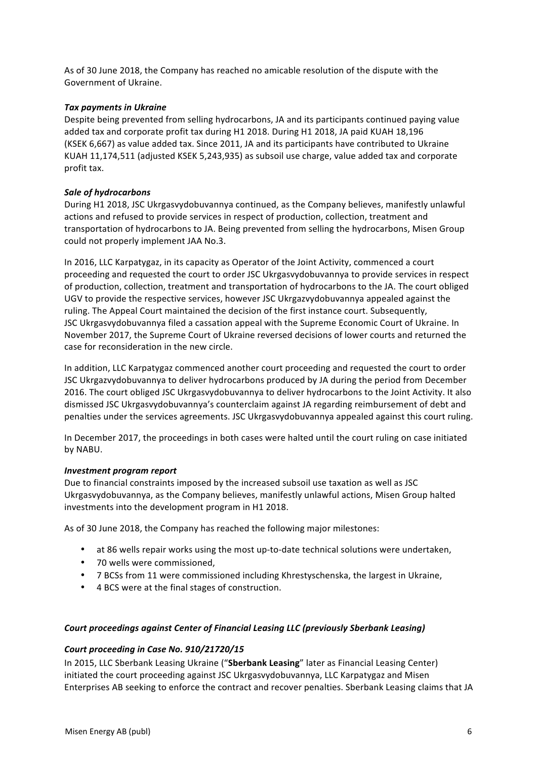As of 30 June 2018, the Company has reached no amicable resolution of the dispute with the Government of Ukraine.

## **Tax payments in Ukraine**

Despite being prevented from selling hydrocarbons, JA and its participants continued paying value added tax and corporate profit tax during H1 2018. During H1 2018, JA paid KUAH 18,196 (KSEK 6,667) as value added tax. Since 2011, JA and its participants have contributed to Ukraine KUAH 11,174,511 (adjusted KSEK 5,243,935) as subsoil use charge, value added tax and corporate profit tax.

## **Sale of hydrocarbons**

During H1 2018, JSC Ukrgasvydobuvannya continued, as the Company believes, manifestly unlawful actions and refused to provide services in respect of production, collection, treatment and transportation of hydrocarbons to JA. Being prevented from selling the hydrocarbons, Misen Group could not properly implement JAA No.3.

In 2016, LLC Karpatygaz, in its capacity as Operator of the Joint Activity, commenced a court proceeding and requested the court to order JSC Ukrgasvydobuvannya to provide services in respect of production, collection, treatment and transportation of hydrocarbons to the JA. The court obliged UGV to provide the respective services, however JSC Ukrgazvydobuvannya appealed against the ruling. The Appeal Court maintained the decision of the first instance court. Subsequently, JSC Ukrgasvydobuvannya filed a cassation appeal with the Supreme Economic Court of Ukraine. In November 2017, the Supreme Court of Ukraine reversed decisions of lower courts and returned the case for reconsideration in the new circle.

In addition, LLC Karpatygaz commenced another court proceeding and requested the court to order JSC Ukrgazvydobuvannya to deliver hydrocarbons produced by JA during the period from December 2016. The court obliged JSC Ukrgasvydobuvannya to deliver hydrocarbons to the Joint Activity. It also dismissed JSC Ukrgasvydobuvannya's counterclaim against JA regarding reimbursement of debt and penalties under the services agreements. JSC Ukrgasvydobuvannya appealed against this court ruling.

In December 2017, the proceedings in both cases were halted until the court ruling on case initiated by NABU.

## *Investment program report*

Due to financial constraints imposed by the increased subsoil use taxation as well as JSC Ukrgasvydobuvannya, as the Company believes, manifestly unlawful actions, Misen Group halted investments into the development program in H1 2018.

As of 30 June 2018, the Company has reached the following major milestones:

- at 86 wells repair works using the most up-to-date technical solutions were undertaken,
- 70 wells were commissioned,
- 7 BCSs from 11 were commissioned including Khrestyschenska, the largest in Ukraine,
- 4 BCS were at the final stages of construction.

## Court proceedings against Center of Financial Leasing LLC (previously Sberbank Leasing)

## *Court proceeding in Case No. 910/21720/15*

In 2015, LLC Sberbank Leasing Ukraine ("Sberbank Leasing" later as Financial Leasing Center) initiated the court proceeding against JSC Ukrgasvydobuvannya, LLC Karpatygaz and Misen Enterprises AB seeking to enforce the contract and recover penalties. Sberbank Leasing claims that JA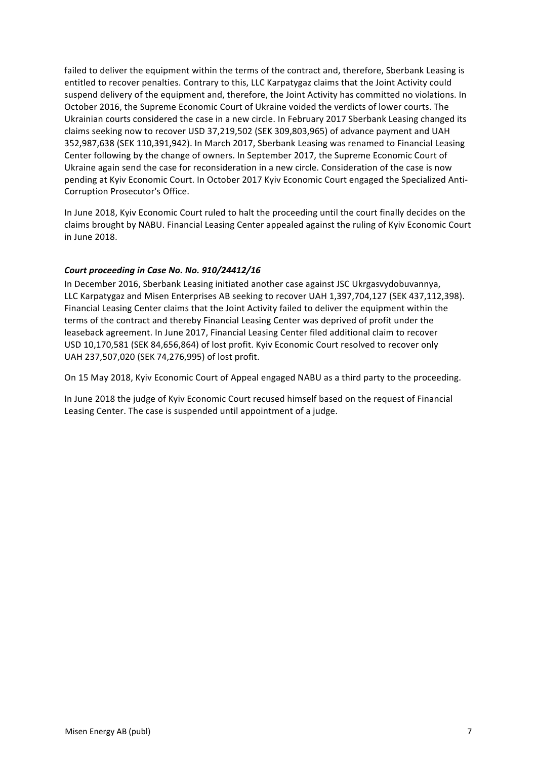failed to deliver the equipment within the terms of the contract and, therefore, Sberbank Leasing is entitled to recover penalties. Contrary to this, LLC Karpatygaz claims that the Joint Activity could suspend delivery of the equipment and, therefore, the Joint Activity has committed no violations. In October 2016, the Supreme Economic Court of Ukraine voided the verdicts of lower courts. The Ukrainian courts considered the case in a new circle. In February 2017 Sberbank Leasing changed its claims seeking now to recover USD 37,219,502 (SEK 309,803,965) of advance payment and UAH 352,987,638 (SEK 110,391,942). In March 2017, Sberbank Leasing was renamed to Financial Leasing Center following by the change of owners. In September 2017, the Supreme Economic Court of Ukraine again send the case for reconsideration in a new circle. Consideration of the case is now pending at Kyiv Economic Court. In October 2017 Kyiv Economic Court engaged the Specialized Anti-Corruption Prosecutor's Office.

In June 2018, Kyiv Economic Court ruled to halt the proceeding until the court finally decides on the claims brought by NABU. Financial Leasing Center appealed against the ruling of Kyiv Economic Court in June 2018.

# Court proceeding in Case No. No. 910/24412/16

In December 2016, Sberbank Leasing initiated another case against JSC Ukrgasvydobuvannya, LLC Karpatygaz and Misen Enterprises AB seeking to recover UAH 1,397,704,127 (SEK 437,112,398). Financial Leasing Center claims that the Joint Activity failed to deliver the equipment within the terms of the contract and thereby Financial Leasing Center was deprived of profit under the leaseback agreement. In June 2017, Financial Leasing Center filed additional claim to recover USD 10,170,581 (SEK 84,656,864) of lost profit. Kyiv Economic Court resolved to recover only UAH 237,507,020 (SEK 74,276,995) of lost profit.

On 15 May 2018, Kyiv Economic Court of Appeal engaged NABU as a third party to the proceeding.

In June 2018 the judge of Kyiv Economic Court recused himself based on the request of Financial Leasing Center. The case is suspended until appointment of a judge.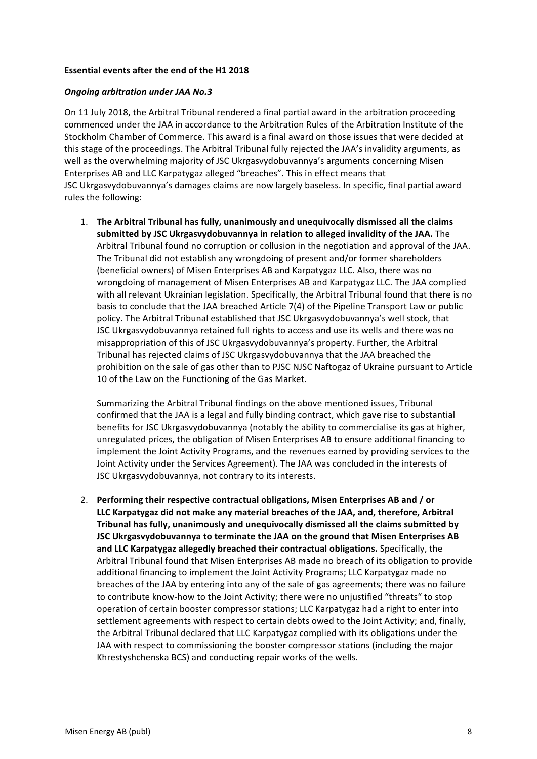### **Essential events after the end of the H1 2018**

#### *Ongoing arbitration under JAA No.3*

On 11 July 2018, the Arbitral Tribunal rendered a final partial award in the arbitration proceeding commenced under the JAA in accordance to the Arbitration Rules of the Arbitration Institute of the Stockholm Chamber of Commerce. This award is a final award on those issues that were decided at this stage of the proceedings. The Arbitral Tribunal fully rejected the JAA's invalidity arguments, as well as the overwhelming majority of JSC Ukrgasvydobuvannya's arguments concerning Misen Enterprises AB and LLC Karpatygaz alleged "breaches". This in effect means that JSC Ukrgasvydobuvannya's damages claims are now largely baseless. In specific, final partial award rules the following:

1. The Arbitral Tribunal has fully, unanimously and unequivocally dismissed all the claims submitted by JSC Ukrgasvydobuvannya in relation to alleged invalidity of the JAA. The Arbitral Tribunal found no corruption or collusion in the negotiation and approval of the JAA. The Tribunal did not establish any wrongdoing of present and/or former shareholders (beneficial owners) of Misen Enterprises AB and Karpatygaz LLC. Also, there was no wrongdoing of management of Misen Enterprises AB and Karpatygaz LLC. The JAA complied with all relevant Ukrainian legislation. Specifically, the Arbitral Tribunal found that there is no basis to conclude that the JAA breached Article  $7(4)$  of the Pipeline Transport Law or public policy. The Arbitral Tribunal established that JSC Ukrgasvydobuvannya's well stock, that JSC Ukrgasvydobuvannya retained full rights to access and use its wells and there was no misappropriation of this of JSC Ukrgasvydobuvannya's property. Further, the Arbitral Tribunal has rejected claims of JSC Ukrgasvydobuvannya that the JAA breached the prohibition on the sale of gas other than to PJSC NJSC Naftogaz of Ukraine pursuant to Article 10 of the Law on the Functioning of the Gas Market.

Summarizing the Arbitral Tribunal findings on the above mentioned issues, Tribunal confirmed that the JAA is a legal and fully binding contract, which gave rise to substantial benefits for JSC Ukrgasvydobuvannya (notably the ability to commercialise its gas at higher, unregulated prices, the obligation of Misen Enterprises AB to ensure additional financing to implement the Joint Activity Programs, and the revenues earned by providing services to the Joint Activity under the Services Agreement). The JAA was concluded in the interests of JSC Ukrgasvydobuvannya, not contrary to its interests.

2. Performing their respective contractual obligations, Misen Enterprises AB and / or LLC Karpatygaz did not make any material breaches of the JAA, and, therefore, Arbitral Tribunal has fully, unanimously and unequivocally dismissed all the claims submitted by **JSC Ukrgasvydobuvannya to terminate the JAA on the ground that Misen Enterprises AB** and LLC Karpatygaz allegedly breached their contractual obligations. Specifically, the Arbitral Tribunal found that Misen Enterprises AB made no breach of its obligation to provide additional financing to implement the Joint Activity Programs; LLC Karpatygaz made no breaches of the JAA by entering into any of the sale of gas agreements; there was no failure to contribute know-how to the Joint Activity; there were no unjustified "threats" to stop operation of certain booster compressor stations; LLC Karpatygaz had a right to enter into settlement agreements with respect to certain debts owed to the Joint Activity; and, finally, the Arbitral Tribunal declared that LLC Karpatygaz complied with its obligations under the JAA with respect to commissioning the booster compressor stations (including the major Khrestyshchenska BCS) and conducting repair works of the wells.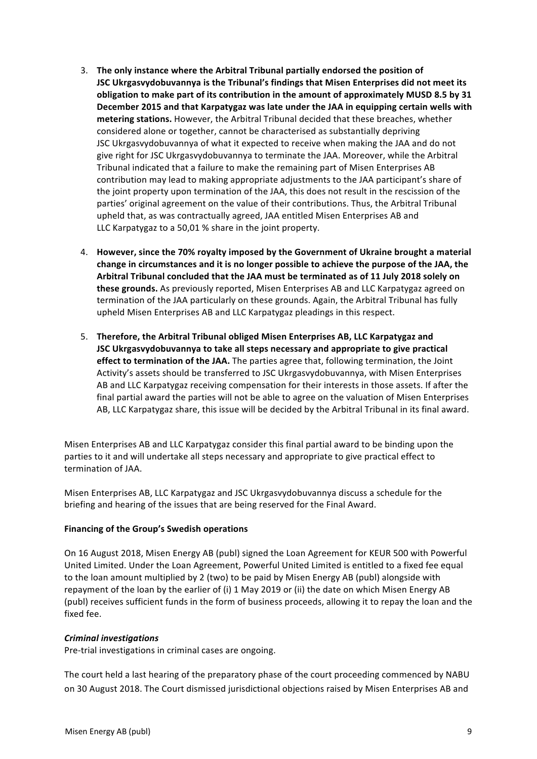- 3. The only instance where the Arbitral Tribunal partially endorsed the position of **JSC Ukrgasvydobuvannya is the Tribunal's findings that Misen Enterprises did not meet its** obligation to make part of its contribution in the amount of approximately MUSD 8.5 by 31 December 2015 and that Karpatygaz was late under the JAA in equipping certain wells with **metering stations.** However, the Arbitral Tribunal decided that these breaches, whether considered alone or together, cannot be characterised as substantially depriving JSC Ukrgasvydobuvannya of what it expected to receive when making the JAA and do not give right for JSC Ukrgasvydobuvannya to terminate the JAA. Moreover, while the Arbitral Tribunal indicated that a failure to make the remaining part of Misen Enterprises AB contribution may lead to making appropriate adjustments to the JAA participant's share of the joint property upon termination of the JAA, this does not result in the rescission of the parties' original agreement on the value of their contributions. Thus, the Arbitral Tribunal upheld that, as was contractually agreed, JAA entitled Misen Enterprises AB and LLC Karpatygaz to a 50,01 % share in the joint property.
- 4. However, since the 70% royalty imposed by the Government of Ukraine brought a material change in circumstances and it is no longer possible to achieve the purpose of the JAA, the Arbitral Tribunal concluded that the JAA must be terminated as of 11 July 2018 solely on **these grounds.** As previously reported, Misen Enterprises AB and LLC Karpatygaz agreed on termination of the JAA particularly on these grounds. Again, the Arbitral Tribunal has fully upheld Misen Enterprises AB and LLC Karpatygaz pleadings in this respect.
- 5. Therefore, the Arbitral Tribunal obliged Misen Enterprises AB, LLC Karpatygaz and **JSC** Ukrgasvydobuvannya to take all steps necessary and appropriate to give practical **effect to termination of the JAA.** The parties agree that, following termination, the Joint Activity's assets should be transferred to JSC Ukrgasvydobuvannya, with Misen Enterprises AB and LLC Karpatygaz receiving compensation for their interests in those assets. If after the final partial award the parties will not be able to agree on the valuation of Misen Enterprises AB, LLC Karpatygaz share, this issue will be decided by the Arbitral Tribunal in its final award.

Misen Enterprises AB and LLC Karpatygaz consider this final partial award to be binding upon the parties to it and will undertake all steps necessary and appropriate to give practical effect to termination of JAA.

Misen Enterprises AB, LLC Karpatygaz and JSC Ukrgasvydobuvannya discuss a schedule for the briefing and hearing of the issues that are being reserved for the Final Award.

## **Financing of the Group's Swedish operations**

On 16 August 2018, Misen Energy AB (publ) signed the Loan Agreement for KEUR 500 with Powerful United Limited. Under the Loan Agreement, Powerful United Limited is entitled to a fixed fee equal to the loan amount multiplied by 2 (two) to be paid by Misen Energy AB (publ) alongside with repayment of the loan by the earlier of (i) 1 May 2019 or (ii) the date on which Misen Energy AB (publ) receives sufficient funds in the form of business proceeds, allowing it to repay the loan and the fixed fee.

## *Criminal investigations*

Pre-trial investigations in criminal cases are ongoing.

The court held a last hearing of the preparatory phase of the court proceeding commenced by NABU on 30 August 2018. The Court dismissed jurisdictional objections raised by Misen Enterprises AB and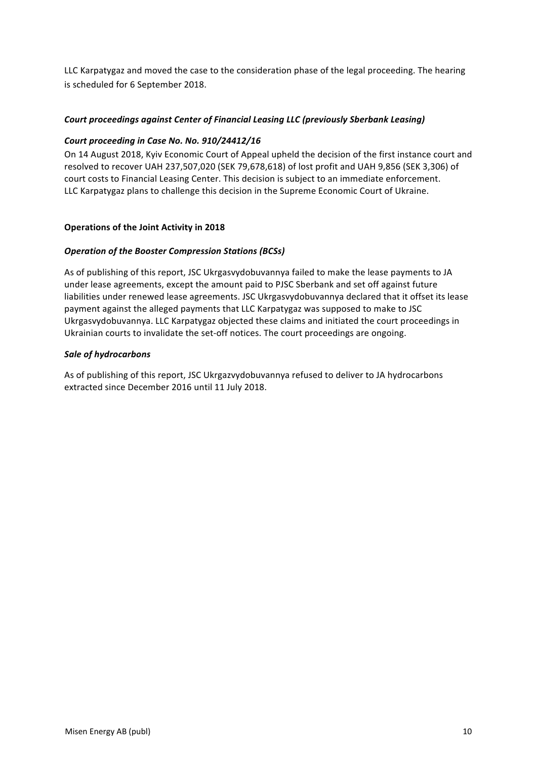LLC Karpatygaz and moved the case to the consideration phase of the legal proceeding. The hearing is scheduled for 6 September 2018.

# Court proceedings against Center of Financial Leasing LLC (previously Sberbank Leasing)

# Court proceeding in Case No. No. 910/24412/16

On 14 August 2018, Kyiv Economic Court of Appeal upheld the decision of the first instance court and resolved to recover UAH 237,507,020 (SEK 79,678,618) of lost profit and UAH 9,856 (SEK 3,306) of court costs to Financial Leasing Center. This decision is subject to an immediate enforcement. LLC Karpatygaz plans to challenge this decision in the Supreme Economic Court of Ukraine.

## **Operations of the Joint Activity in 2018**

## **Operation of the Booster Compression Stations (BCSs)**

As of publishing of this report, JSC Ukrgasvydobuvannya failed to make the lease payments to JA under lease agreements, except the amount paid to PJSC Sberbank and set off against future liabilities under renewed lease agreements. JSC Ukrgasvydobuvannya declared that it offset its lease payment against the alleged payments that LLC Karpatygaz was supposed to make to JSC Ukrgasvydobuvannya. LLC Karpatygaz objected these claims and initiated the court proceedings in Ukrainian courts to invalidate the set-off notices. The court proceedings are ongoing.

## *Sale of hydrocarbons*

As of publishing of this report, JSC Ukrgazvydobuvannya refused to deliver to JA hydrocarbons extracted since December 2016 until 11 July 2018.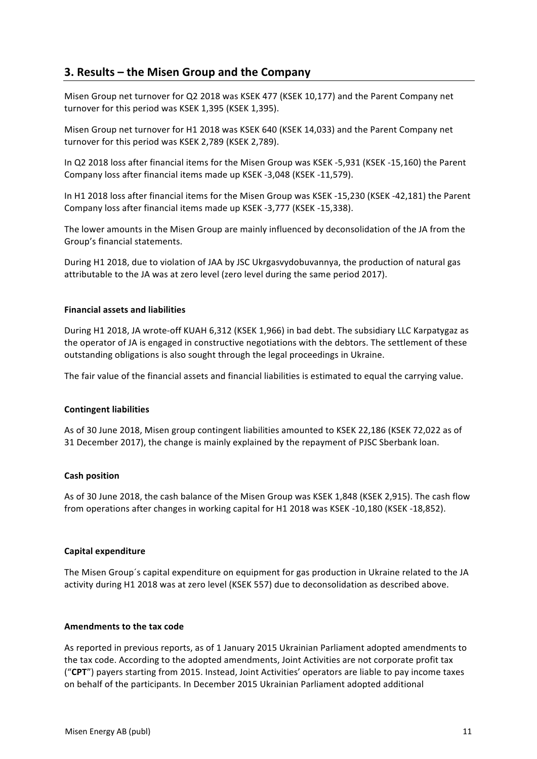# **3. Results – the Misen Group and the Company**

Misen Group net turnover for Q2 2018 was KSEK 477 (KSEK 10,177) and the Parent Company net turnover for this period was KSEK 1,395 (KSEK 1,395).

Misen Group net turnover for H1 2018 was KSEK 640 (KSEK 14,033) and the Parent Company net turnover for this period was KSEK 2,789 (KSEK 2,789).

In Q2 2018 loss after financial items for the Misen Group was KSEK -5,931 (KSEK -15,160) the Parent Company loss after financial items made up KSEK -3,048 (KSEK -11,579).

In H1 2018 loss after financial items for the Misen Group was KSEK -15,230 (KSEK -42,181) the Parent Company loss after financial items made up KSEK -3,777 (KSEK -15,338).

The lower amounts in the Misen Group are mainly influenced by deconsolidation of the JA from the Group's financial statements.

During H1 2018, due to violation of JAA by JSC Ukrgasvydobuvannya, the production of natural gas attributable to the JA was at zero level (zero level during the same period 2017).

#### **Financial assets and liabilities**

During H1 2018, JA wrote-off KUAH 6,312 (KSEK 1,966) in bad debt. The subsidiary LLC Karpatygaz as the operator of JA is engaged in constructive negotiations with the debtors. The settlement of these outstanding obligations is also sought through the legal proceedings in Ukraine.

The fair value of the financial assets and financial liabilities is estimated to equal the carrying value.

#### **Contingent liabilities**

As of 30 June 2018. Misen group contingent liabilities amounted to KSEK 22,186 (KSEK 72,022 as of 31 December 2017), the change is mainly explained by the repayment of PJSC Sberbank loan.

#### **Cash position**

As of 30 June 2018, the cash balance of the Misen Group was KSEK 1,848 (KSEK 2,915). The cash flow from operations after changes in working capital for H1 2018 was KSEK -10,180 (KSEK -18,852).

#### **Capital expenditure**

The Misen Group's capital expenditure on equipment for gas production in Ukraine related to the JA activity during H1 2018 was at zero level (KSEK 557) due to deconsolidation as described above.

#### **Amendments to the tax code**

As reported in previous reports, as of 1 January 2015 Ukrainian Parliament adopted amendments to the tax code. According to the adopted amendments, Joint Activities are not corporate profit tax ("CPT") payers starting from 2015. Instead, Joint Activities' operators are liable to pay income taxes on behalf of the participants. In December 2015 Ukrainian Parliament adopted additional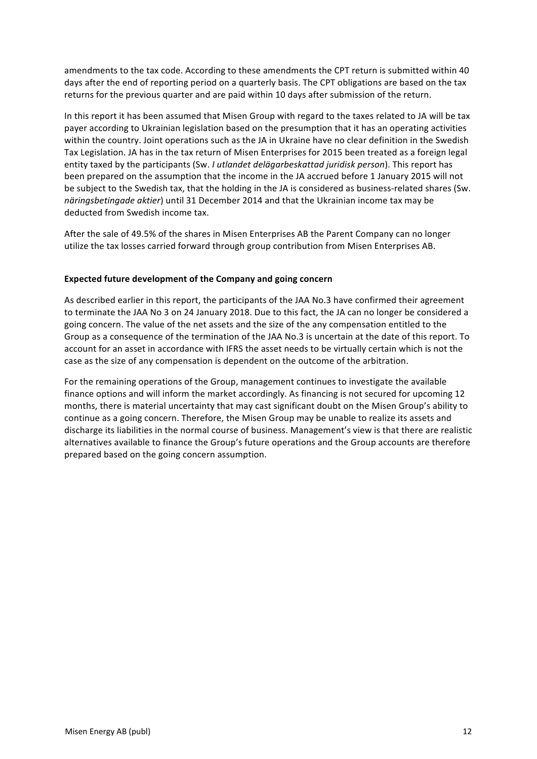amendments to the tax code. According to these amendments the CPT return is submitted within 40 days after the end of reporting period on a quarterly basis. The CPT obligations are based on the tax returns for the previous quarter and are paid within 10 days after submission of the return.

In this report it has been assumed that Misen Group with regard to the taxes related to JA will be tax payer according to Ukrainian legislation based on the presumption that it has an operating activities within the country. Joint operations such as the JA in Ukraine have no clear definition in the Swedish Tax Legislation. JA has in the tax return of Misen Enterprises for 2015 been treated as a foreign legal entity taxed by the participants (Sw. *I utlandet delägarbeskattad iuridisk person*). This report has been prepared on the assumption that the income in the JA accrued before 1 January 2015 will not be subject to the Swedish tax, that the holding in the JA is considered as business-related shares (Sw. *näringsbetingade aktier*) until 31 December 2014 and that the Ukrainian income tax may be deducted from Swedish income tax.

After the sale of 49.5% of the shares in Misen Enterprises AB the Parent Company can no longer utilize the tax losses carried forward through group contribution from Misen Enterprises AB.

## **Expected future development of the Company and going concern**

As described earlier in this report, the participants of the JAA No.3 have confirmed their agreement to terminate the JAA No 3 on 24 January 2018. Due to this fact, the JA can no longer be considered a going concern. The value of the net assets and the size of the any compensation entitled to the Group as a consequence of the termination of the JAA No.3 is uncertain at the date of this report. To account for an asset in accordance with IFRS the asset needs to be virtually certain which is not the case as the size of any compensation is dependent on the outcome of the arbitration.

For the remaining operations of the Group, management continues to investigate the available finance options and will inform the market accordingly. As financing is not secured for upcoming 12 months, there is material uncertainty that may cast significant doubt on the Misen Group's ability to continue as a going concern. Therefore, the Misen Group may be unable to realize its assets and discharge its liabilities in the normal course of business. Management's view is that there are realistic alternatives available to finance the Group's future operations and the Group accounts are therefore prepared based on the going concern assumption.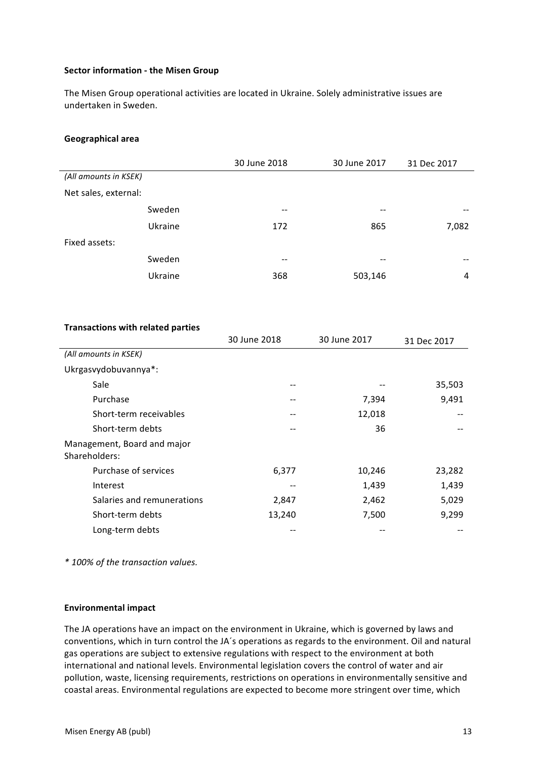#### **Sector information - the Misen Group**

The Misen Group operational activities are located in Ukraine. Solely administrative issues are undertaken in Sweden.

#### **Geographical area**

|                       |         | 30 June 2018             | 30 June 2017 | 31 Dec 2017 |
|-----------------------|---------|--------------------------|--------------|-------------|
| (All amounts in KSEK) |         |                          |              |             |
| Net sales, external:  |         |                          |              |             |
|                       | Sweden  | --                       | $- -$        | --          |
|                       | Ukraine | 172                      | 865          | 7,082       |
| Fixed assets:         |         |                          |              |             |
|                       | Sweden  | $\overline{\phantom{m}}$ | $- -$        | --          |
|                       | Ukraine | 368                      | 503,146      | 4           |

#### **Transactions with related parties**

|                                              | 30 June 2018 | 30 June 2017 | 31 Dec 2017 |
|----------------------------------------------|--------------|--------------|-------------|
| (All amounts in KSEK)                        |              |              |             |
| Ukrgasvydobuvannya*:                         |              |              |             |
| Sale                                         |              |              | 35,503      |
| Purchase                                     |              | 7,394        | 9,491       |
| Short-term receivables                       | --           | 12,018       |             |
| Short-term debts                             |              | 36           |             |
| Management, Board and major<br>Shareholders: |              |              |             |
| Purchase of services                         | 6,377        | 10,246       | 23,282      |
| Interest                                     |              | 1,439        | 1,439       |
| Salaries and remunerations                   | 2,847        | 2,462        | 5,029       |
| Short-term debts                             | 13,240       | 7,500        | 9,299       |
| Long-term debts                              |              |              |             |

*\* 100% of the transaction values.*

#### **Environmental impact**

The JA operations have an impact on the environment in Ukraine, which is governed by laws and conventions, which in turn control the JA's operations as regards to the environment. Oil and natural gas operations are subject to extensive regulations with respect to the environment at both international and national levels. Environmental legislation covers the control of water and air pollution, waste, licensing requirements, restrictions on operations in environmentally sensitive and coastal areas. Environmental regulations are expected to become more stringent over time, which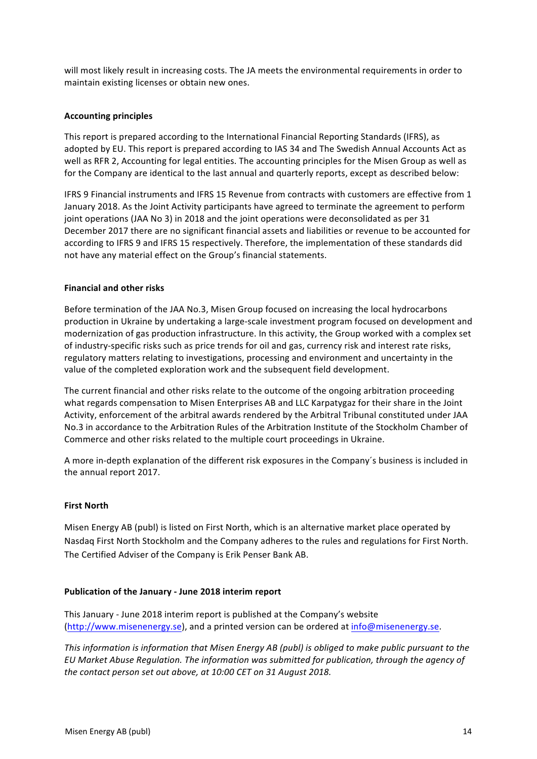will most likely result in increasing costs. The JA meets the environmental requirements in order to maintain existing licenses or obtain new ones.

# **Accounting principles**

This report is prepared according to the International Financial Reporting Standards (IFRS), as adopted by EU. This report is prepared according to IAS 34 and The Swedish Annual Accounts Act as well as RFR 2, Accounting for legal entities. The accounting principles for the Misen Group as well as for the Company are identical to the last annual and quarterly reports, except as described below:

IFRS 9 Financial instruments and IFRS 15 Revenue from contracts with customers are effective from 1 January 2018. As the Joint Activity participants have agreed to terminate the agreement to perform joint operations (JAA No 3) in 2018 and the joint operations were deconsolidated as per 31 December 2017 there are no significant financial assets and liabilities or revenue to be accounted for according to IFRS 9 and IFRS 15 respectively. Therefore, the implementation of these standards did not have any material effect on the Group's financial statements.

# **Financial and other risks**

Before termination of the JAA No.3, Misen Group focused on increasing the local hydrocarbons production in Ukraine by undertaking a large-scale investment program focused on development and modernization of gas production infrastructure. In this activity, the Group worked with a complex set of industry-specific risks such as price trends for oil and gas, currency risk and interest rate risks, regulatory matters relating to investigations, processing and environment and uncertainty in the value of the completed exploration work and the subsequent field development.

The current financial and other risks relate to the outcome of the ongoing arbitration proceeding what regards compensation to Misen Enterprises AB and LLC Karpatygaz for their share in the Joint Activity, enforcement of the arbitral awards rendered by the Arbitral Tribunal constituted under JAA No.3 in accordance to the Arbitration Rules of the Arbitration Institute of the Stockholm Chamber of Commerce and other risks related to the multiple court proceedings in Ukraine.

A more in-depth explanation of the different risk exposures in the Company's business is included in the annual report 2017.

## **First North**

Misen Energy AB (publ) is listed on First North, which is an alternative market place operated by Nasdag First North Stockholm and the Company adheres to the rules and regulations for First North. The Certified Adviser of the Company is Erik Penser Bank AB.

## **Publication of the January - June 2018 interim report**

This January - June 2018 interim report is published at the Company's website (http://www.misenenergy.se), and a printed version can be ordered at info@misenenergy.se.

*This information is information that Misen Energy AB (publ) is obliged to make public pursuant to the EU* Market Abuse Regulation. The information was submitted for publication, through the agency of *the contact person set out above, at 10:00 CET on 31 August 2018.*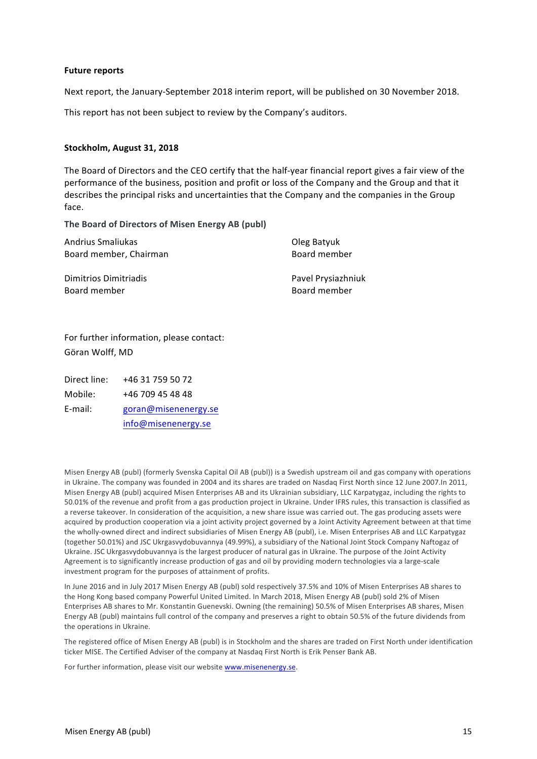#### **Future reports**

Next report, the January-September 2018 interim report, will be published on 30 November 2018.

This report has not been subject to review by the Company's auditors.

#### **Stockholm, August 31, 2018**

The Board of Directors and the CEO certify that the half-year financial report gives a fair view of the performance of the business, position and profit or loss of the Company and the Group and that it describes the principal risks and uncertainties that the Company and the companies in the Group face.

The Board of Directors of Misen Energy AB (publ)

| Andrius Smaliukas      | Oleg Batyuk        |
|------------------------|--------------------|
| Board member, Chairman | Board member       |
| Dimitrios Dimitriadis  | Pavel Prysiazhniuk |
| Board member           | Board member       |

For further information, please contact: Göran Wolff, MD

Direct line: +46 31 759 50 72 Mobile: +46 709 45 48 48 E-mail: goran@misenenergy.se

info@misenenergy.se

Misen Energy AB (publ) (formerly Svenska Capital Oil AB (publ)) is a Swedish upstream oil and gas company with operations in Ukraine. The company was founded in 2004 and its shares are traded on Nasdaq First North since 12 June 2007.In 2011, Misen Energy AB (publ) acquired Misen Enterprises AB and its Ukrainian subsidiary, LLC Karpatygaz, including the rights to 50.01% of the revenue and profit from a gas production project in Ukraine. Under IFRS rules, this transaction is classified as a reverse takeover. In consideration of the acquisition, a new share issue was carried out. The gas producing assets were acquired by production cooperation via a joint activity project governed by a Joint Activity Agreement between at that time the wholly-owned direct and indirect subsidiaries of Misen Energy AB (publ), i.e. Misen Enterprises AB and LLC Karpatygaz (together 50.01%) and JSC Ukrgasvydobuvannya (49.99%), a subsidiary of the National Joint Stock Company Naftogaz of Ukraine. JSC Ukrgasvydobuvannya is the largest producer of natural gas in Ukraine. The purpose of the Joint Activity Agreement is to significantly increase production of gas and oil by providing modern technologies via a large-scale investment program for the purposes of attainment of profits.

In June 2016 and in July 2017 Misen Energy AB (publ) sold respectively 37.5% and 10% of Misen Enterprises AB shares to the Hong Kong based company Powerful United Limited. In March 2018, Misen Energy AB (publ) sold 2% of Misen Enterprises AB shares to Mr. Konstantin Guenevski. Owning (the remaining) 50.5% of Misen Enterprises AB shares, Misen Energy AB (publ) maintains full control of the company and preserves a right to obtain 50.5% of the future dividends from the operations in Ukraine.

The registered office of Misen Energy AB (publ) is in Stockholm and the shares are traded on First North under identification ticker MISE. The Certified Adviser of the company at Nasdaq First North is Erik Penser Bank AB.

For further information, please visit our website www.misenenergy.se.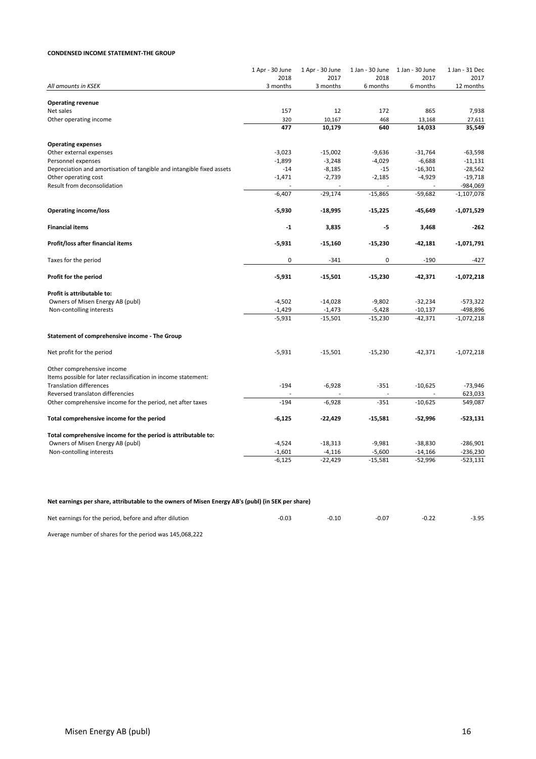#### **CONDENSED INCOME STATEMENT-THE GROUP**

|                                                                       | 1 Apr - 30 June<br>2018 | 1 Apr - 30 June<br>2017 | 1 Jan - 30 June<br>2018  | 1 Jan - 30 June<br>2017 | 1 Jan - 31 Dec<br>2017 |
|-----------------------------------------------------------------------|-------------------------|-------------------------|--------------------------|-------------------------|------------------------|
| All amounts in KSEK                                                   | 3 months                | 3 months                | 6 months                 | 6 months                | 12 months              |
|                                                                       |                         |                         |                          |                         |                        |
| <b>Operating revenue</b>                                              |                         |                         |                          |                         |                        |
| Net sales                                                             | 157                     | 12                      | 172                      | 865                     | 7,938                  |
| Other operating income                                                | 320                     | 10,167                  | 468                      | 13,168                  | 27,611                 |
|                                                                       | 477                     | 10,179                  | 640                      | 14,033                  | 35,549                 |
| <b>Operating expenses</b>                                             |                         |                         |                          |                         |                        |
| Other external expenses                                               | $-3,023$                | $-15,002$               | $-9,636$                 | $-31,764$               | $-63,598$              |
| Personnel expenses                                                    | $-1,899$                | $-3,248$                | $-4,029$                 | $-6,688$                | $-11,131$              |
| Depreciation and amortisation of tangible and intangible fixed assets | $-14$                   | $-8,185$                | $-15$                    | $-16,301$               | $-28,562$              |
| Other operating cost                                                  | $-1,471$                | $-2,739$                | $-2,185$                 | $-4,929$                | $-19,718$              |
| Result from deconsolidation                                           | ä,                      |                         | $\overline{\phantom{a}}$ |                         | $-984,069$             |
|                                                                       | $-6,407$                | $-29,174$               | $-15,865$                | $-59,682$               | $-1,107,078$           |
| <b>Operating income/loss</b>                                          | $-5,930$                | $-18,995$               | $-15,225$                | -45,649                 | -1,071,529             |
| <b>Financial items</b>                                                | $-1$                    | 3,835                   | -5                       | 3,468                   | $-262$                 |
|                                                                       |                         |                         |                          |                         |                        |
| Profit/loss after financial items                                     | $-5,931$                | $-15,160$               | $-15,230$                | $-42,181$               | $-1,071,791$           |
| Taxes for the period                                                  | 0                       | $-341$                  | 0                        | $-190$                  | $-427$                 |
| Profit for the period                                                 | $-5,931$                | $-15,501$               | $-15,230$                | $-42,371$               | $-1,072,218$           |
| Profit is attributable to:                                            |                         |                         |                          |                         |                        |
| Owners of Misen Energy AB (publ)                                      | $-4,502$                | $-14,028$               | $-9,802$                 | $-32,234$               | $-573,322$             |
| Non-contolling interests                                              | $-1,429$                | $-1,473$                | $-5,428$                 | $-10,137$               | -498,896               |
|                                                                       | $-5,931$                | $-15,501$               | $-15,230$                | $-42,371$               | $-1,072,218$           |
| Statement of comprehensive income - The Group                         |                         |                         |                          |                         |                        |
| Net profit for the period                                             | $-5,931$                | $-15,501$               | $-15,230$                | $-42,371$               | $-1,072,218$           |
| Other comprehensive income                                            |                         |                         |                          |                         |                        |
| Items possible for later reclassification in income statement:        |                         |                         |                          |                         |                        |
| <b>Translation differences</b>                                        | $-194$                  | $-6,928$                | $-351$                   | $-10,625$               | $-73,946$              |
| Reversed translaton differencies                                      |                         |                         |                          |                         | 623,033                |
| Other comprehensive income for the period, net after taxes            | $-194$                  | $-6,928$                | $-351$                   | $-10,625$               | 549,087                |
| Total comprehensive income for the period                             | -6,125                  | $-22,429$               | $-15,581$                | -52,996                 | $-523,131$             |
| Total comprehensive income for the period is attributable to:         |                         |                         |                          |                         |                        |
| Owners of Misen Energy AB (publ)                                      | $-4,524$                | $-18,313$               | $-9,981$                 | $-38,830$               | $-286,901$             |
| Non-contolling interests                                              | $-1,601$                | $-4,116$                | $-5,600$                 | $-14,166$               | $-236,230$             |
|                                                                       | $-6,125$                | $-22,429$               | $-15,581$                | $-52,996$               | $-523,131$             |
|                                                                       |                         |                         |                          |                         |                        |

#### Net earnings per share, attributable to the owners of Misen Energy AB's (publ) (in SEK per share)

| Net earnings for the period, before and after dilution | -0.03 | $-0.10$ | $-0.07$ | -0.22 | $-3.95$ |
|--------------------------------------------------------|-------|---------|---------|-------|---------|
|                                                        |       |         |         |       |         |

Average number of shares for the period was 145,068,222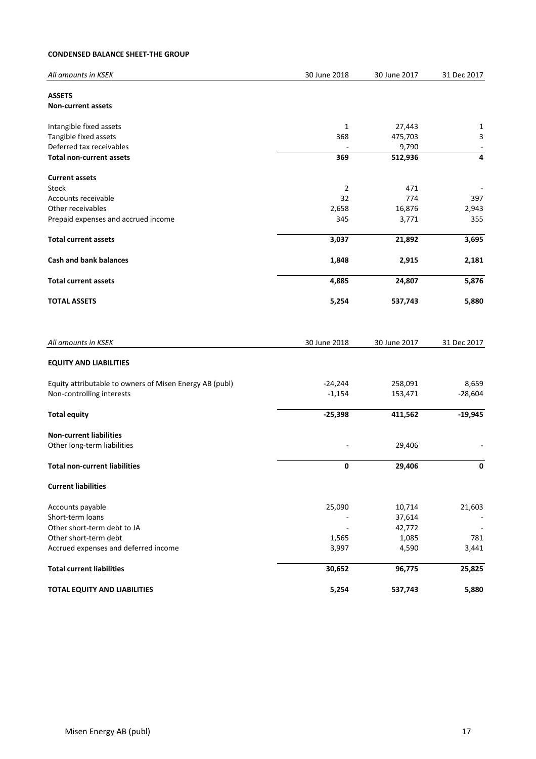#### **CONDENSED BALANCE SHEET-THE GROUP**

| All amounts in KSEK                                     | 30 June 2018             | 30 June 2017 | 31 Dec 2017    |
|---------------------------------------------------------|--------------------------|--------------|----------------|
| <b>ASSETS</b>                                           |                          |              |                |
| <b>Non-current assets</b>                               |                          |              |                |
| Intangible fixed assets                                 | 1                        | 27,443       | 1              |
| Tangible fixed assets                                   | 368                      | 475,703      | 3              |
| Deferred tax receivables                                |                          | 9,790        | $\blacksquare$ |
| <b>Total non-current assets</b>                         | 369                      | 512,936      | 4              |
| <b>Current assets</b>                                   |                          |              |                |
| <b>Stock</b>                                            | 2                        | 471          |                |
| Accounts receivable                                     | 32                       | 774          | 397            |
| Other receivables                                       | 2,658                    | 16,876       | 2,943          |
| Prepaid expenses and accrued income                     | 345                      | 3,771        | 355            |
| <b>Total current assets</b>                             | 3,037                    | 21,892       | 3,695          |
| <b>Cash and bank balances</b>                           | 1,848                    | 2,915        | 2,181          |
| <b>Total current assets</b>                             | 4,885                    | 24,807       | 5,876          |
| <b>TOTAL ASSETS</b>                                     | 5,254                    | 537,743      | 5,880          |
|                                                         |                          |              |                |
|                                                         |                          |              |                |
| All amounts in KSEK                                     | 30 June 2018             | 30 June 2017 | 31 Dec 2017    |
| <b>EQUITY AND LIABILITIES</b>                           |                          |              |                |
| Equity attributable to owners of Misen Energy AB (publ) | $-24,244$                | 258,091      | 8,659          |
| Non-controlling interests                               | $-1,154$                 | 153,471      | $-28,604$      |
| <b>Total equity</b>                                     | $-25,398$                | 411,562      | $-19,945$      |
| <b>Non-current liabilities</b>                          |                          |              |                |
| Other long-term liabilities                             |                          | 29,406       |                |
| <b>Total non-current liabilities</b>                    | 0                        | 29,406       | 0              |
| <b>Current liabilities</b>                              |                          |              |                |
| Accounts payable                                        | 25,090                   | 10,714       | 21,603         |
| Short-term loans                                        |                          | 37,614       |                |
| Other short-term debt to JA                             | $\overline{\phantom{a}}$ | 42,772       |                |
| Other short-term debt                                   | 1,565                    | 1,085        | 781            |
| Accrued expenses and deferred income                    | 3,997                    | 4,590        | 3,441          |
| <b>Total current liabilities</b>                        | 30,652                   | 96,775       | 25,825         |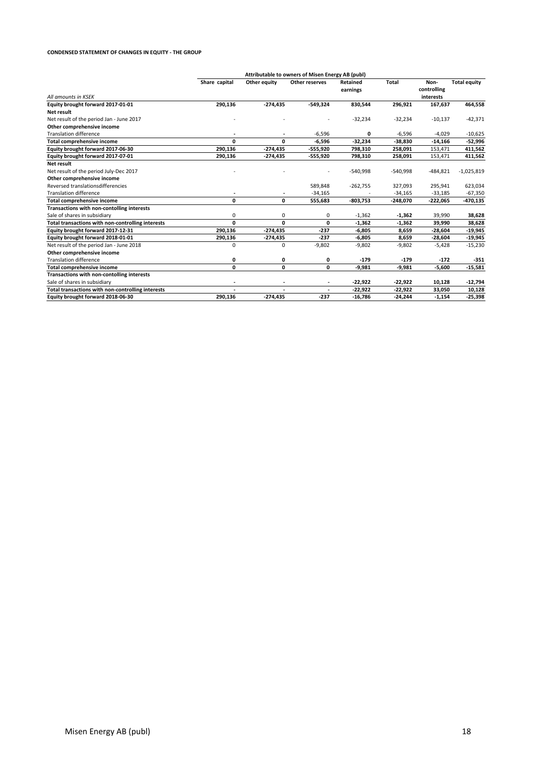#### **CONDENSED STATEMENT OF CHANGES IN EQUITY - THE GROUP**

|                                                   | Attributable to owners of Misen Energy AB (publ) |                      |                |                      |              |                     |                     |
|---------------------------------------------------|--------------------------------------------------|----------------------|----------------|----------------------|--------------|---------------------|---------------------|
|                                                   | Share capital                                    | Other equity         | Other reserves | Retained<br>earnings | <b>Total</b> | Non-<br>controlling | <b>Total equity</b> |
| All amounts in KSEK                               |                                                  |                      |                |                      |              | interests           |                     |
| Equity brought forward 2017-01-01                 | 290,136                                          | $-274,435$           | $-549,324$     | 830,544              | 296,921      | 167,637             | 464,558             |
| Net result                                        |                                                  |                      |                |                      |              |                     |                     |
| Net result of the period Jan - June 2017          |                                                  |                      |                | $-32,234$            | $-32,234$    | $-10,137$           | $-42,371$           |
| Other comprehensive income                        |                                                  |                      |                |                      |              |                     |                     |
| <b>Translation difference</b>                     |                                                  |                      | $-6,596$       | 0                    | $-6,596$     | $-4,029$            | $-10,625$           |
| <b>Total comprehensive income</b>                 | 0                                                | 0                    | $-6,596$       | $-32,234$            | $-38,830$    | $-14,166$           | $-52,996$           |
| Equity brought forward 2017-06-30                 | 290,136                                          | $-274,435$           | $-555,920$     | 798,310              | 258,091      | 153,471             | 411,562             |
| Equity brought forward 2017-07-01                 | 290,136                                          | -274,435             | -555,920       | 798,310              | 258,091      | 153,471             | 411,562             |
| <b>Net result</b>                                 |                                                  |                      |                |                      |              |                     |                     |
| Net result of the period July-Dec 2017            |                                                  |                      |                | $-540,998$           | $-540,998$   | $-484,821$          | $-1,025,819$        |
| Other comprehensive income                        |                                                  |                      |                |                      |              |                     |                     |
| Reversed translationsdifferencies                 |                                                  |                      | 589,848        | $-262,755$           | 327,093      | 295,941             | 623,034             |
| <b>Translation difference</b>                     |                                                  | $\overline{a}$       | $-34,165$      |                      | $-34,165$    | $-33,185$           | $-67,350$           |
| <b>Total comprehensive income</b>                 | 0                                                | 0                    | 555,683        | $-803,753$           | $-248,070$   | $-222,065$          | -470,135            |
| Transactions with non-contolling interests        |                                                  |                      |                |                      |              |                     |                     |
| Sale of shares in subsidiary                      | 0                                                | 0                    | 0              | $-1,362$             | $-1,362$     | 39,990              | 38,628              |
| Total transactions with non-controlling interests | 0                                                | 0                    | 0              | $-1,362$             | $-1,362$     | 39,990              | 38,628              |
| Equity brought forward 2017-12-31                 | 290.136                                          | $-274,435$           | $-237$         | $-6,805$             | 8,659        | $-28,604$           | $-19,945$           |
| Equity brought forward 2018-01-01                 | 290,136                                          | $-274,435$           | $-237$         | $-6,805$             | 8,659        | $-28,604$           | $-19,945$           |
| Net result of the period Jan - June 2018          | 0                                                | 0                    | $-9,802$       | $-9,802$             | $-9,802$     | $-5,428$            | $-15,230$           |
| Other comprehensive income                        |                                                  |                      |                |                      |              |                     |                     |
| <b>Translation difference</b>                     | 0                                                | 0                    | 0              | $-179$               | $-179$       | $-172$              | -351                |
| <b>Total comprehensive income</b>                 | 0                                                | 0                    | 0              | $-9,981$             | $-9,981$     | $-5,600$            | $-15,581$           |
| Transactions with non-contolling interests        |                                                  |                      |                |                      |              |                     |                     |
| Sale of shares in subsidiary                      |                                                  |                      |                | $-22,922$            | $-22,922$    | 10,128              | $-12,794$           |
| Total transactions with non-controlling interests |                                                  | $\ddot{\phantom{1}}$ |                | -22,922              | $-22,922$    | 33,050              | 10,128              |
| Equity brought forward 2018-06-30                 | 290,136                                          | $-274,435$           | $-237$         | $-16,786$            | $-24,244$    | $-1,154$            | $-25,398$           |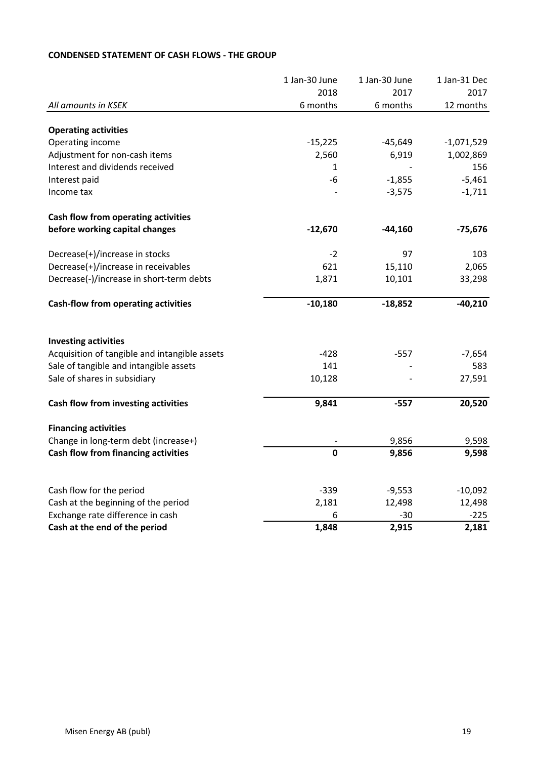|                                                                         | 1 Jan-30 June | 1 Jan-30 June   | 1 Jan-31 Dec    |
|-------------------------------------------------------------------------|---------------|-----------------|-----------------|
|                                                                         | 2018          | 2017            | 2017            |
| All amounts in KSEK                                                     | 6 months      | 6 months        | 12 months       |
| <b>Operating activities</b>                                             |               |                 |                 |
| Operating income                                                        | $-15,225$     | $-45,649$       | $-1,071,529$    |
| Adjustment for non-cash items                                           | 2,560         | 6,919           | 1,002,869       |
| Interest and dividends received                                         | 1             |                 | 156             |
| Interest paid                                                           | $-6$          | $-1,855$        | $-5,461$        |
| Income tax                                                              |               | $-3,575$        | $-1,711$        |
| Cash flow from operating activities                                     |               |                 |                 |
| before working capital changes                                          | $-12,670$     | $-44,160$       | $-75,676$       |
| Decrease(+)/increase in stocks                                          | $-2$          | 97              | 103             |
| Decrease(+)/increase in receivables                                     | 621           | 15,110          | 2,065           |
| Decrease(-)/increase in short-term debts                                | 1,871         | 10,101          | 33,298          |
| <b>Cash-flow from operating activities</b>                              | $-10,180$     | $-18,852$       | $-40,210$       |
| <b>Investing activities</b>                                             |               |                 |                 |
| Acquisition of tangible and intangible assets                           | $-428$        | $-557$          | $-7,654$        |
| Sale of tangible and intangible assets                                  | 141           |                 | 583             |
| Sale of shares in subsidiary                                            | 10,128        |                 | 27,591          |
| Cash flow from investing activities                                     | 9,841         | $-557$          | 20,520          |
| <b>Financing activities</b>                                             |               |                 |                 |
| Change in long-term debt (increase+)                                    |               | 9,856           | 9,598           |
| Cash flow from financing activities                                     | $\mathbf 0$   | 9,856           | 9,598           |
|                                                                         |               |                 |                 |
| Cash flow for the period                                                | $-339$        | $-9,553$        | $-10,092$       |
| Cash at the beginning of the period<br>Exchange rate difference in cash | 2,181         | 12,498<br>$-30$ | 12,498          |
| Cash at the end of the period                                           | 6<br>1,848    | 2,915           | $-225$<br>2,181 |
|                                                                         |               |                 |                 |

# **CONDENSED STATEMENT OF CASH FLOWS - THE GROUP**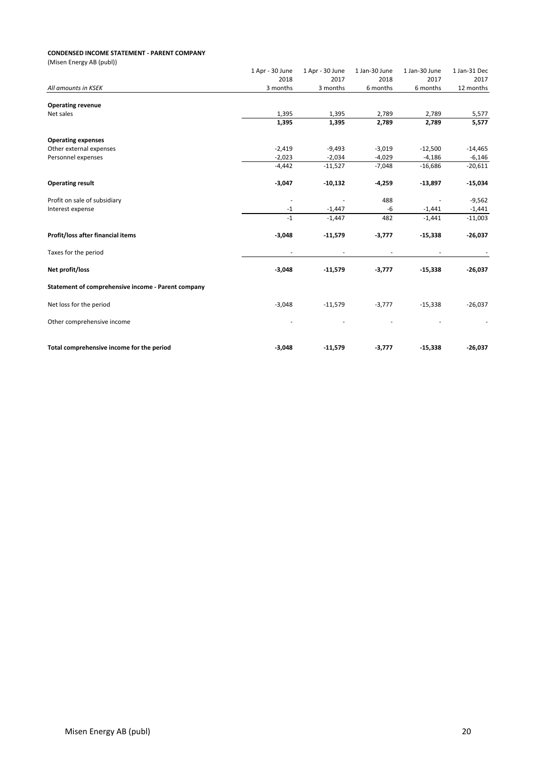#### **CONDENSED INCOME STATEMENT - PARENT COMPANY**

| 1 Apr - 30 June | 1 Apr - 30 June  | 1 Jan-30 June    | 1 Jan-30 June    | 1 Jan-31 Dec     |
|-----------------|------------------|------------------|------------------|------------------|
|                 |                  |                  |                  | 2017             |
|                 |                  |                  |                  | 12 months        |
|                 |                  |                  |                  |                  |
| 1,395           | 1,395            | 2,789            | 2,789            | 5,577            |
| 1,395           | 1,395            | 2,789            | 2,789            | 5,577            |
|                 |                  |                  |                  |                  |
| $-2,419$        | $-9,493$         | $-3,019$         | $-12,500$        | $-14,465$        |
| $-2,023$        | $-2,034$         | $-4,029$         | $-4,186$         | $-6,146$         |
| $-4,442$        | $-11,527$        | $-7,048$         | $-16,686$        | $-20,611$        |
| $-3,047$        | $-10,132$        | $-4,259$         | $-13,897$        | $-15,034$        |
|                 |                  | 488              |                  | $-9,562$         |
| $-1$            | $-1,447$         | $-6$             | $-1,441$         | $-1,441$         |
| $-1$            | $-1,447$         | 482              | $-1,441$         | $-11,003$        |
| $-3,048$        | $-11,579$        | $-3,777$         | $-15,338$        | $-26,037$        |
|                 |                  |                  |                  |                  |
| $-3,048$        | $-11,579$        | $-3,777$         | $-15,338$        | $-26,037$        |
|                 |                  |                  |                  |                  |
| $-3,048$        | $-11,579$        | $-3,777$         | $-15,338$        | $-26,037$        |
|                 |                  |                  |                  |                  |
| $-3,048$        | $-11,579$        | $-3,777$         | $-15,338$        | $-26,037$        |
|                 | 2018<br>3 months | 2017<br>3 months | 2018<br>6 months | 2017<br>6 months |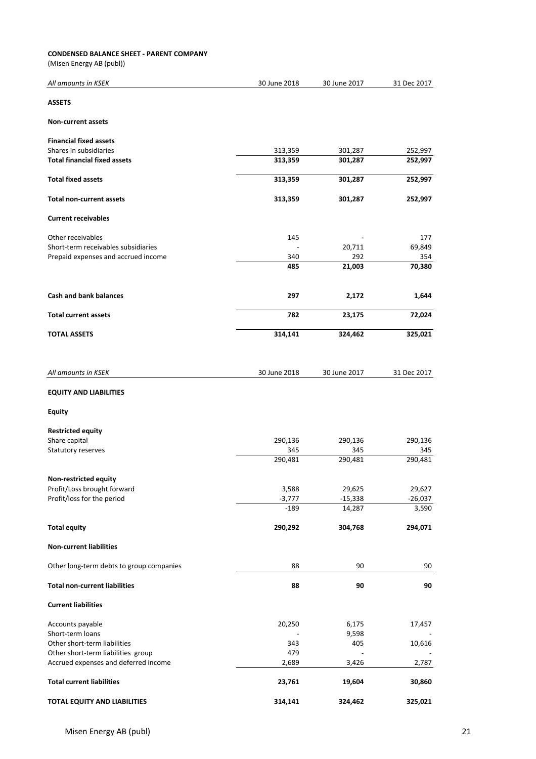#### **CONDENSED BALANCE SHEET - PARENT COMPANY**

(Misen Energy AB (publ))

| All amounts in KSEK                      | 30 June 2018 | 30 June 2017 | 31 Dec 2017 |
|------------------------------------------|--------------|--------------|-------------|
| <b>ASSETS</b>                            |              |              |             |
| <b>Non-current assets</b>                |              |              |             |
| <b>Financial fixed assets</b>            |              |              |             |
| Shares in subsidiaries                   | 313,359      | 301,287      | 252,997     |
| <b>Total financial fixed assets</b>      | 313,359      | 301,287      | 252,997     |
| <b>Total fixed assets</b>                | 313,359      | 301,287      | 252,997     |
| <b>Total non-current assets</b>          | 313,359      | 301,287      | 252,997     |
| <b>Current receivables</b>               |              |              |             |
| Other receivables                        | 145          |              | 177         |
| Short-term receivables subsidiaries      |              | 20,711       | 69,849      |
| Prepaid expenses and accrued income      | 340          | 292          | 354         |
|                                          | 485          | 21,003       | 70,380      |
| <b>Cash and bank balances</b>            | 297          | 2,172        | 1,644       |
| <b>Total current assets</b>              | 782          | 23,175       | 72,024      |
| <b>TOTAL ASSETS</b>                      | 314,141      | 324,462      | 325,021     |
|                                          |              |              |             |
| All amounts in KSEK                      | 30 June 2018 | 30 June 2017 | 31 Dec 2017 |
| <b>EQUITY AND LIABILITIES</b>            |              |              |             |
| <b>Equity</b>                            |              |              |             |
| <b>Restricted equity</b>                 |              |              |             |
| Share capital                            | 290,136      | 290,136      | 290,136     |
| Statutory reserves                       | 345          | 345          | 345         |
|                                          | 290,481      | 290,481      | 290,481     |
| <b>Non-restricted equity</b>             |              |              |             |
| Profit/Loss brought forward              | 3,588        | 29,625       | 29,627      |
| Profit/loss for the period               | $-3,777$     | $-15,338$    | $-26,037$   |
|                                          | $-189$       | 14,287       | 3,590       |
| <b>Total equity</b>                      | 290,292      | 304,768      | 294,071     |
| <b>Non-current liabilities</b>           |              |              |             |
| Other long-term debts to group companies | 88           | 90           | 90          |
| <b>Total non-current liabilities</b>     | 88           | 90           | 90          |
| <b>Current liabilities</b>               |              |              |             |
| Accounts payable                         | 20,250       | 6,175        | 17,457      |
| Short-term loans                         |              | 9,598        |             |
| Other short-term liabilities             | 343          | 405          | 10,616      |
| Other short-term liabilities group       | 479          |              |             |
| Accrued expenses and deferred income     | 2,689        | 3,426        | 2,787       |
| <b>Total current liabilities</b>         | 23,761       | 19,604       | 30,860      |
| TOTAL EQUITY AND LIABILITIES             | 314,141      | 324,462      | 325,021     |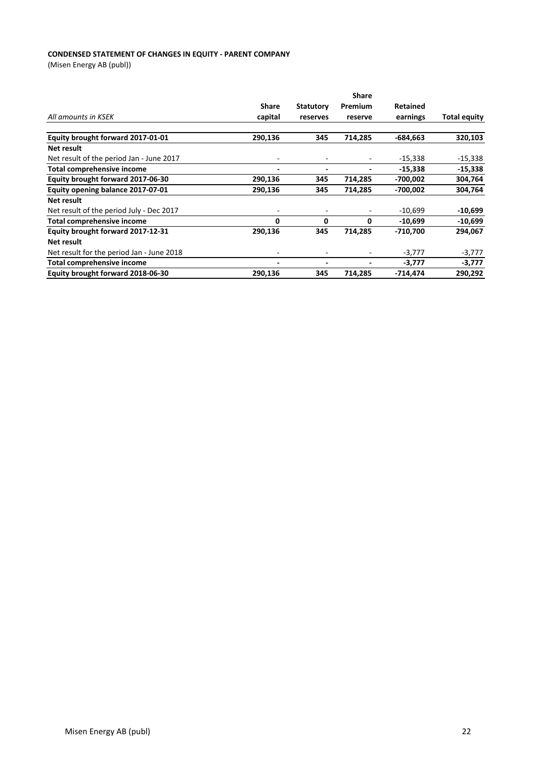#### **CONDENSED STATEMENT OF CHANGES IN EQUITY - PARENT COMPANY**

(Misen Energy AB (publ))

|                                           |                          |                          | <b>Share</b> |                 |                     |
|-------------------------------------------|--------------------------|--------------------------|--------------|-----------------|---------------------|
|                                           | <b>Share</b>             | <b>Statutory</b>         | Premium      | <b>Retained</b> |                     |
| All amounts in KSEK                       | capital                  | reserves                 | reserve      | earnings        | <b>Total equity</b> |
|                                           |                          |                          |              |                 |                     |
| Equity brought forward 2017-01-01         | 290,136                  | 345                      | 714,285      | -684.663        | 320,103             |
| Net result                                |                          |                          |              |                 |                     |
| Net result of the period Jan - June 2017  | ٠                        |                          |              | $-15,338$       | $-15,338$           |
| <b>Total comprehensive income</b>         | $\blacksquare$           | $\overline{\phantom{0}}$ |              | $-15,338$       | $-15,338$           |
| Equity brought forward 2017-06-30         | 290,136                  | 345                      | 714,285      | -700,002        | 304,764             |
| Equity opening balance 2017-07-01         | 290,136                  | 345                      | 714,285      | -700,002        | 304,764             |
| Net result                                |                          |                          |              |                 |                     |
| Net result of the period July - Dec 2017  | ۰                        |                          |              | $-10,699$       | -10,699             |
| <b>Total comprehensive income</b>         | 0                        | 0                        | 0            | $-10,699$       | $-10,699$           |
| Equity brought forward 2017-12-31         | 290,136                  | 345                      | 714,285      | $-710,700$      | 294,067             |
| Net result                                |                          |                          |              |                 |                     |
| Net result for the period Jan - June 2018 | $\overline{\phantom{a}}$ |                          |              | $-3,777$        | $-3,777$            |
| Total comprehensive income                | -                        |                          |              | $-3,777$        | $-3,777$            |
| Equity brought forward 2018-06-30         | 290,136                  | 345                      | 714,285      | -714,474        | 290,292             |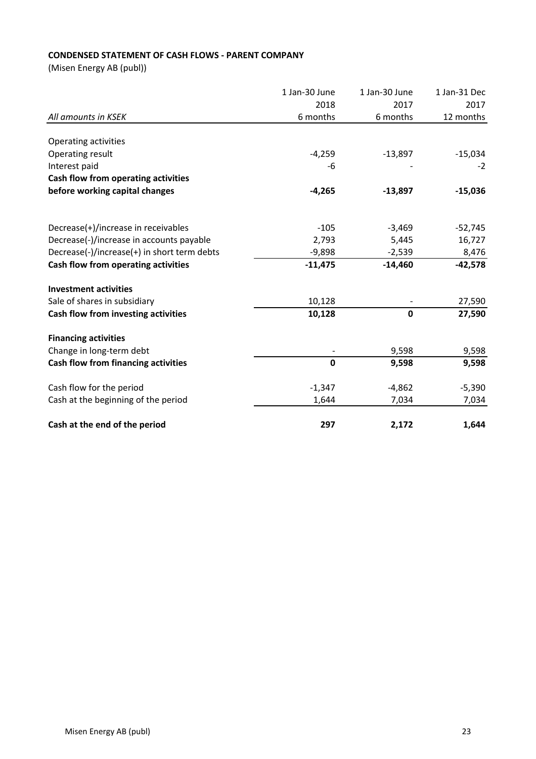# **CONDENSED STATEMENT OF CASH FLOWS - PARENT COMPANY**

(Misen Energy AB (publ))

|                                             | 1 Jan-30 June | 1 Jan-30 June | 1 Jan-31 Dec |
|---------------------------------------------|---------------|---------------|--------------|
|                                             | 2018          | 2017          | 2017         |
| All amounts in KSEK                         | 6 months      | 6 months      | 12 months    |
|                                             |               |               |              |
| Operating activities                        |               |               |              |
| Operating result                            | $-4,259$      | $-13,897$     | $-15,034$    |
| Interest paid                               | -6            |               | $-2$         |
| Cash flow from operating activities         |               |               |              |
| before working capital changes              | $-4,265$      | $-13,897$     | $-15,036$    |
| Decrease(+)/increase in receivables         | $-105$        | $-3,469$      | $-52,745$    |
| Decrease(-)/increase in accounts payable    | 2,793         | 5,445         | 16,727       |
| Decrease(-)/increase(+) in short term debts | $-9,898$      | $-2,539$      | 8,476        |
| Cash flow from operating activities         | $-11,475$     | $-14,460$     | $-42,578$    |
| <b>Investment activities</b>                |               |               |              |
| Sale of shares in subsidiary                | 10,128        |               | 27,590       |
| Cash flow from investing activities         | 10,128        | $\mathbf 0$   | 27,590       |
| <b>Financing activities</b>                 |               |               |              |
| Change in long-term debt                    |               | 9,598         | 9,598        |
| Cash flow from financing activities         | $\mathbf 0$   | 9,598         | 9,598        |
| Cash flow for the period                    | $-1,347$      | $-4,862$      | $-5,390$     |
| Cash at the beginning of the period         | 1,644         | 7,034         | 7,034        |
| Cash at the end of the period               | 297           | 2,172         | 1,644        |